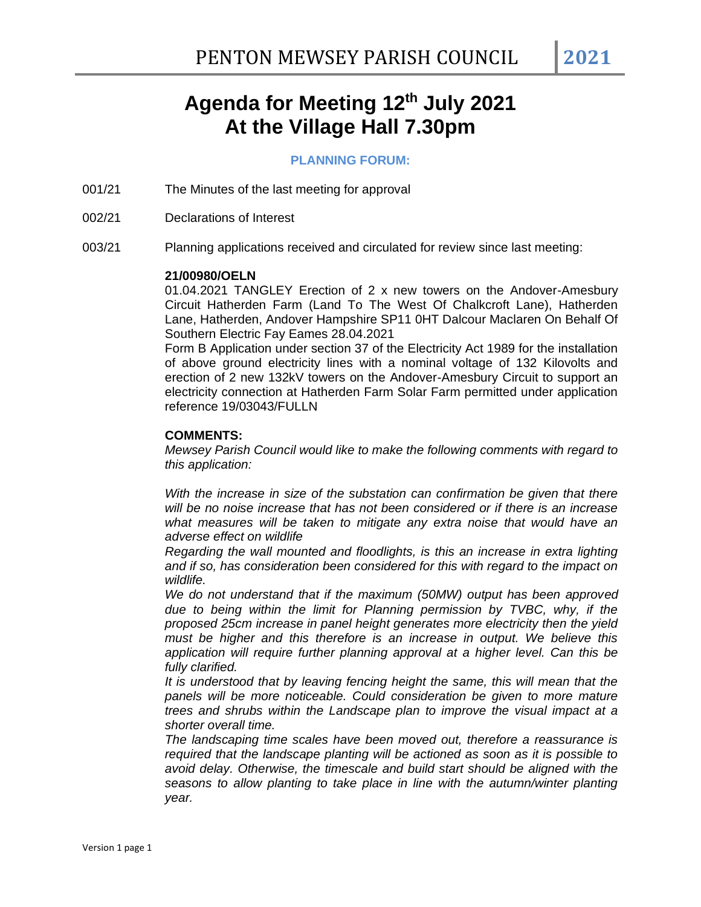# **Agenda for Meeting 12th July 2021 At the Village Hall 7.30pm**

## **PLANNING FORUM:**

- 001/21 The Minutes of the last meeting for approval
- 002/21 Declarations of Interest
- 003/21 Planning applications received and circulated for review since last meeting:

#### **21/00980/OELN**

01.04.2021 TANGLEY Erection of 2 x new towers on the Andover-Amesbury Circuit Hatherden Farm (Land To The West Of Chalkcroft Lane), Hatherden Lane, Hatherden, Andover Hampshire SP11 0HT Dalcour Maclaren On Behalf Of Southern Electric Fay Eames 28.04.2021

Form B Application under section 37 of the Electricity Act 1989 for the installation of above ground electricity lines with a nominal voltage of 132 Kilovolts and erection of 2 new 132kV towers on the Andover-Amesbury Circuit to support an electricity connection at Hatherden Farm Solar Farm permitted under application reference 19/03043/FULLN

#### **COMMENTS:**

*Mewsey Parish Council would like to make the following comments with regard to this application:* 

*With the increase in size of the substation can confirmation be given that there will be no noise increase that has not been considered or if there is an increase*  what measures will be taken to mitigate any extra noise that would have an *adverse effect on wildlife* 

*Regarding the wall mounted and floodlights, is this an increase in extra lighting and if so, has consideration been considered for this with regard to the impact on wildlife.* 

*We do not understand that if the maximum (50MW) output has been approved due to being within the limit for Planning permission by TVBC, why, if the proposed 25cm increase in panel height generates more electricity then the yield must be higher and this therefore is an increase in output. We believe this application will require further planning approval at a higher level. Can this be fully clarified.* 

*It is understood that by leaving fencing height the same, this will mean that the panels will be more noticeable. Could consideration be given to more mature trees and shrubs within the Landscape plan to improve the visual impact at a shorter overall time.*

*The landscaping time scales have been moved out, therefore a reassurance is required that the landscape planting will be actioned as soon as it is possible to avoid delay. Otherwise, the timescale and build start should be aligned with the seasons to allow planting to take place in line with the autumn/winter planting year.*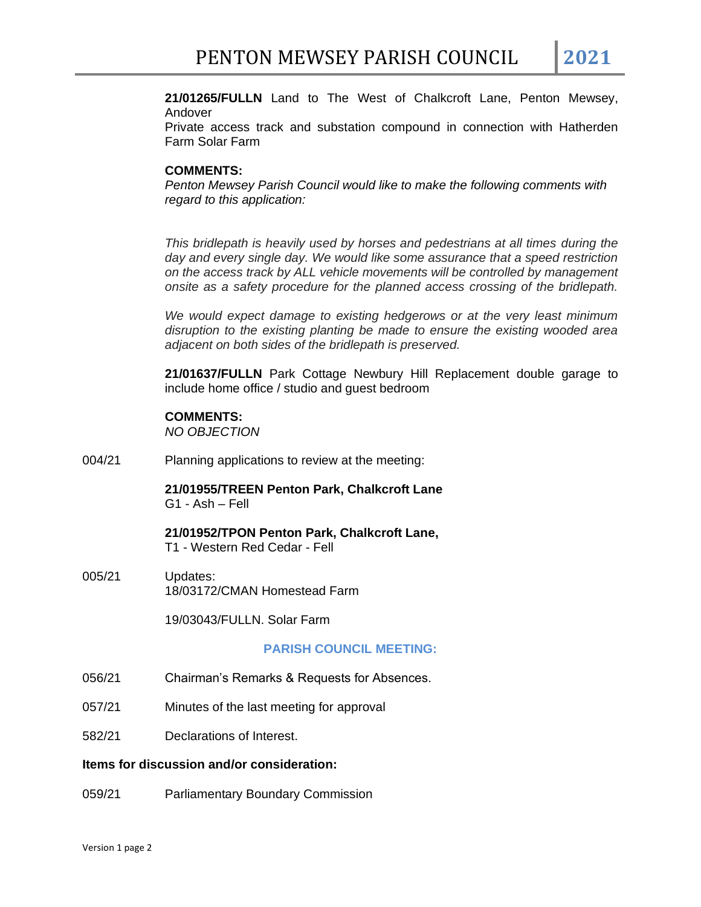#### **21/01265/FULLN** Land to The West of Chalkcroft Lane, Penton Mewsey, Andover

Private access track and substation compound in connection with Hatherden Farm Solar Farm

# **COMMENTS:**

*Penton Mewsey Parish Council would like to make the following comments with regard to this application:*

*This bridlepath is heavily used by horses and pedestrians at all times during the*  day and every single day. We would like some assurance that a speed restriction *on the access track by ALL vehicle movements will be controlled by management onsite as a safety procedure for the planned access crossing of the bridlepath.*

*We would expect damage to existing hedgerows or at the very least minimum disruption to the existing planting be made to ensure the existing wooded area adjacent on both sides of the bridlepath is preserved.*

**21/01637/FULLN** Park Cottage Newbury Hill Replacement double garage to include home office / studio and guest bedroom

#### **COMMENTS:**

*NO OBJECTION*

004/21 Planning applications to review at the meeting:

**21/01955/TREEN Penton Park, Chalkcroft Lane** G1 - Ash – Fell

# **21/01952/TPON Penton Park, Chalkcroft Lane,**

T1 - Western Red Cedar - Fell

005/21 Updates: 18/03172/CMAN Homestead Farm

19/03043/FULLN. Solar Farm

## **PARISH COUNCIL MEETING:**

- 056/21 Chairman's Remarks & Requests for Absences.
- 057/21 Minutes of the last meeting for approval
- 582/21 Declarations of Interest.

# **Items for discussion and/or consideration:**

059/21 Parliamentary Boundary Commission